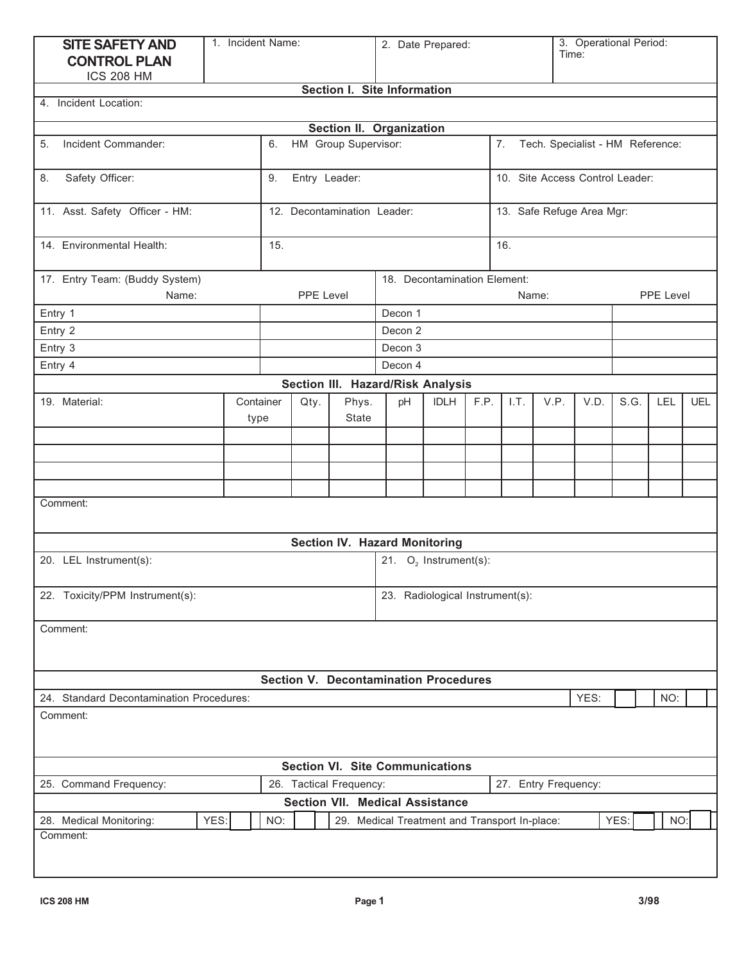| <b>SITE SAFETY AND</b><br><b>CONTROL PLAN</b>                                                          | 1. Incident Name:                                                    |           |                             | 2. Date Prepared:                            |                                 |                              | 3. Operational Period:<br>Time: |                                 |      |      |           |     |            |  |
|--------------------------------------------------------------------------------------------------------|----------------------------------------------------------------------|-----------|-----------------------------|----------------------------------------------|---------------------------------|------------------------------|---------------------------------|---------------------------------|------|------|-----------|-----|------------|--|
| <b>ICS 208 HM</b>                                                                                      |                                                                      |           |                             |                                              |                                 |                              |                                 |                                 |      |      |           |     |            |  |
| Section I. Site Information                                                                            |                                                                      |           |                             |                                              |                                 |                              |                                 |                                 |      |      |           |     |            |  |
| 4. Incident Location:                                                                                  |                                                                      |           |                             |                                              |                                 |                              |                                 |                                 |      |      |           |     |            |  |
|                                                                                                        | Section II. Organization                                             |           |                             |                                              |                                 |                              |                                 |                                 |      |      |           |     |            |  |
| 5.<br>Incident Commander:                                                                              | HM Group Supervisor:<br>7.<br>6.<br>Tech. Specialist - HM Reference: |           |                             |                                              |                                 |                              |                                 |                                 |      |      |           |     |            |  |
| Safety Officer:<br>8.                                                                                  |                                                                      |           | 9.<br>Entry Leader:         |                                              |                                 |                              |                                 | 10. Site Access Control Leader: |      |      |           |     |            |  |
| 11. Asst. Safety Officer - HM:                                                                         |                                                                      |           | 12. Decontamination Leader: |                                              |                                 |                              |                                 | 13. Safe Refuge Area Mgr:       |      |      |           |     |            |  |
| 14. Environmental Health:                                                                              |                                                                      |           | 15.                         |                                              |                                 |                              |                                 | 16.                             |      |      |           |     |            |  |
| 17. Entry Team: (Buddy System)                                                                         |                                                                      |           | PPE Level                   |                                              |                                 | 18. Decontamination Element: |                                 |                                 |      |      |           |     |            |  |
| Name:                                                                                                  |                                                                      |           |                             |                                              |                                 |                              |                                 | Name:                           |      |      | PPE Level |     |            |  |
| Entry 1                                                                                                |                                                                      |           |                             |                                              |                                 | Decon 1                      |                                 |                                 |      |      |           |     |            |  |
|                                                                                                        | Entry 2                                                              |           |                             |                                              | Decon 2                         |                              |                                 |                                 |      |      |           |     |            |  |
| Entry 3                                                                                                |                                                                      |           |                             |                                              | Decon 3                         |                              |                                 |                                 |      |      |           |     |            |  |
| Entry 4                                                                                                |                                                                      |           | Decon 4                     |                                              |                                 |                              |                                 |                                 |      |      |           |     |            |  |
|                                                                                                        |                                                                      |           |                             | Section III. Hazard/Risk Analysis            |                                 |                              |                                 |                                 |      |      |           |     |            |  |
| 19. Material:                                                                                          | type                                                                 | Container | Qty.                        | Phys.<br><b>State</b>                        | pH                              | <b>IDLH</b>                  | F.P.                            | 1.7.                            | V.P. | V.D. | S.G.      | LEL | <b>UEL</b> |  |
|                                                                                                        |                                                                      |           |                             |                                              |                                 |                              |                                 |                                 |      |      |           |     |            |  |
|                                                                                                        |                                                                      |           |                             |                                              |                                 |                              |                                 |                                 |      |      |           |     |            |  |
|                                                                                                        |                                                                      |           |                             |                                              |                                 |                              |                                 |                                 |      |      |           |     |            |  |
|                                                                                                        |                                                                      |           |                             |                                              |                                 |                              |                                 |                                 |      |      |           |     |            |  |
| Comment:                                                                                               |                                                                      |           |                             |                                              |                                 |                              |                                 |                                 |      |      |           |     |            |  |
| <b>Section IV. Hazard Monitoring</b>                                                                   |                                                                      |           |                             |                                              |                                 |                              |                                 |                                 |      |      |           |     |            |  |
| 20. LEL Instrument(s):<br>21. $O_2$ Instrument(s):                                                     |                                                                      |           |                             |                                              |                                 |                              |                                 |                                 |      |      |           |     |            |  |
| 22. Toxicity/PPM Instrument(s):                                                                        |                                                                      |           |                             |                                              | 23. Radiological Instrument(s): |                              |                                 |                                 |      |      |           |     |            |  |
| Comment:                                                                                               |                                                                      |           |                             |                                              |                                 |                              |                                 |                                 |      |      |           |     |            |  |
|                                                                                                        |                                                                      |           |                             |                                              |                                 |                              |                                 |                                 |      |      |           |     |            |  |
|                                                                                                        |                                                                      |           |                             | <b>Section V. Decontamination Procedures</b> |                                 |                              |                                 |                                 |      |      |           |     |            |  |
| 24. Standard Decontamination Procedures:                                                               |                                                                      |           |                             |                                              |                                 |                              |                                 |                                 |      | YES: |           | NO: |            |  |
| Comment:                                                                                               |                                                                      |           |                             |                                              |                                 |                              |                                 |                                 |      |      |           |     |            |  |
| <b>Section VI. Site Communications</b>                                                                 |                                                                      |           |                             |                                              |                                 |                              |                                 |                                 |      |      |           |     |            |  |
| 25. Command Frequency:<br>26. Tactical Frequency:<br>27. Entry Frequency:                              |                                                                      |           |                             |                                              |                                 |                              |                                 |                                 |      |      |           |     |            |  |
| <b>Section VII. Medical Assistance</b>                                                                 |                                                                      |           |                             |                                              |                                 |                              |                                 |                                 |      |      |           |     |            |  |
| YES:<br>NO:<br>29. Medical Treatment and Transport In-place:<br>YES:<br>NO:<br>28. Medical Monitoring: |                                                                      |           |                             |                                              |                                 |                              |                                 |                                 |      |      |           |     |            |  |
| Comment:                                                                                               |                                                                      |           |                             |                                              |                                 |                              |                                 |                                 |      |      |           |     |            |  |
|                                                                                                        |                                                                      |           |                             |                                              |                                 |                              |                                 |                                 |      |      |           |     |            |  |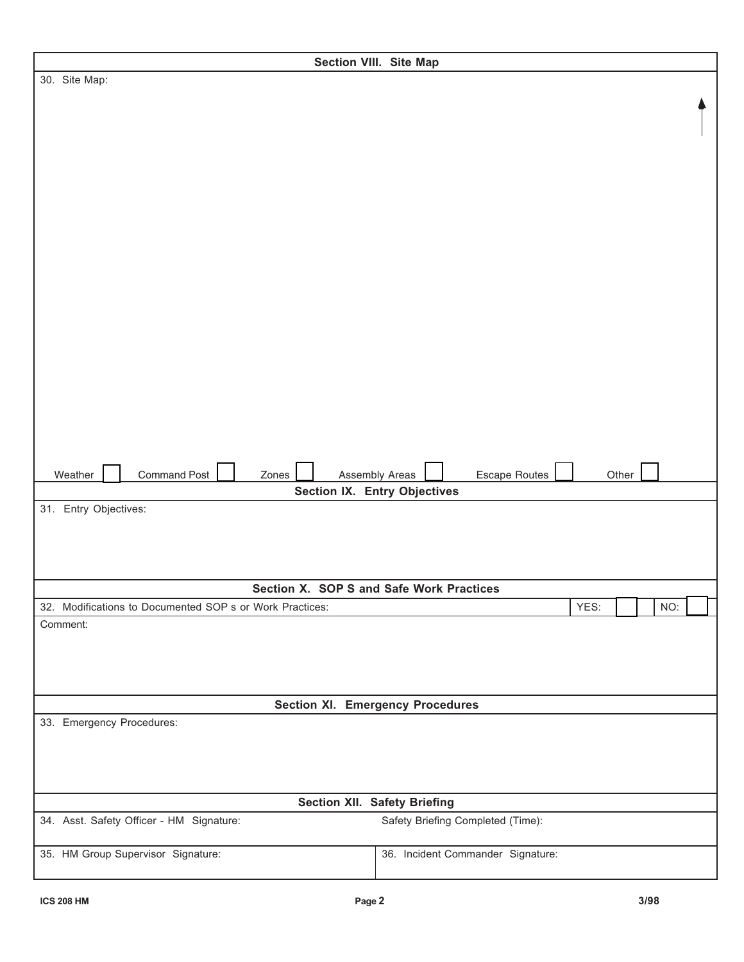| Section VIII. Site Map                                       |                                   |      |       |     |  |  |  |  |
|--------------------------------------------------------------|-----------------------------------|------|-------|-----|--|--|--|--|
| 30. Site Map:                                                |                                   |      |       |     |  |  |  |  |
|                                                              |                                   |      |       |     |  |  |  |  |
|                                                              |                                   |      |       |     |  |  |  |  |
|                                                              |                                   |      |       |     |  |  |  |  |
|                                                              |                                   |      |       |     |  |  |  |  |
|                                                              |                                   |      |       |     |  |  |  |  |
|                                                              |                                   |      |       |     |  |  |  |  |
|                                                              |                                   |      |       |     |  |  |  |  |
|                                                              |                                   |      |       |     |  |  |  |  |
|                                                              |                                   |      |       |     |  |  |  |  |
|                                                              |                                   |      |       |     |  |  |  |  |
|                                                              |                                   |      |       |     |  |  |  |  |
|                                                              |                                   |      |       |     |  |  |  |  |
|                                                              |                                   |      |       |     |  |  |  |  |
|                                                              |                                   |      |       |     |  |  |  |  |
|                                                              |                                   |      |       |     |  |  |  |  |
|                                                              |                                   |      |       |     |  |  |  |  |
|                                                              |                                   |      |       |     |  |  |  |  |
|                                                              |                                   |      |       |     |  |  |  |  |
|                                                              |                                   |      |       |     |  |  |  |  |
|                                                              |                                   |      |       |     |  |  |  |  |
| <b>Command Post</b><br>Zones<br>Weather                      | <b>Escape Routes</b>              |      | Other |     |  |  |  |  |
| <b>Assembly Areas</b><br><b>Section IX. Entry Objectives</b> |                                   |      |       |     |  |  |  |  |
| 31. Entry Objectives:                                        |                                   |      |       |     |  |  |  |  |
|                                                              |                                   |      |       |     |  |  |  |  |
|                                                              |                                   |      |       |     |  |  |  |  |
|                                                              |                                   |      |       |     |  |  |  |  |
| Section X. SOP S and Safe Work Practices                     |                                   |      |       |     |  |  |  |  |
| 32. Modifications to Documented SOP s or Work Practices:     |                                   | YES: |       | NO: |  |  |  |  |
| Comment:                                                     |                                   |      |       |     |  |  |  |  |
|                                                              |                                   |      |       |     |  |  |  |  |
|                                                              |                                   |      |       |     |  |  |  |  |
|                                                              |                                   |      |       |     |  |  |  |  |
|                                                              |                                   |      |       |     |  |  |  |  |
| <b>Section XI. Emergency Procedures</b>                      |                                   |      |       |     |  |  |  |  |
| 33. Emergency Procedures:                                    |                                   |      |       |     |  |  |  |  |
|                                                              |                                   |      |       |     |  |  |  |  |
|                                                              |                                   |      |       |     |  |  |  |  |
|                                                              |                                   |      |       |     |  |  |  |  |
| Section XII. Safety Briefing                                 |                                   |      |       |     |  |  |  |  |
| 34. Asst. Safety Officer - HM Signature:                     | Safety Briefing Completed (Time): |      |       |     |  |  |  |  |
|                                                              |                                   |      |       |     |  |  |  |  |
| 35. HM Group Supervisor Signature:                           | 36. Incident Commander Signature: |      |       |     |  |  |  |  |
|                                                              |                                   |      |       |     |  |  |  |  |